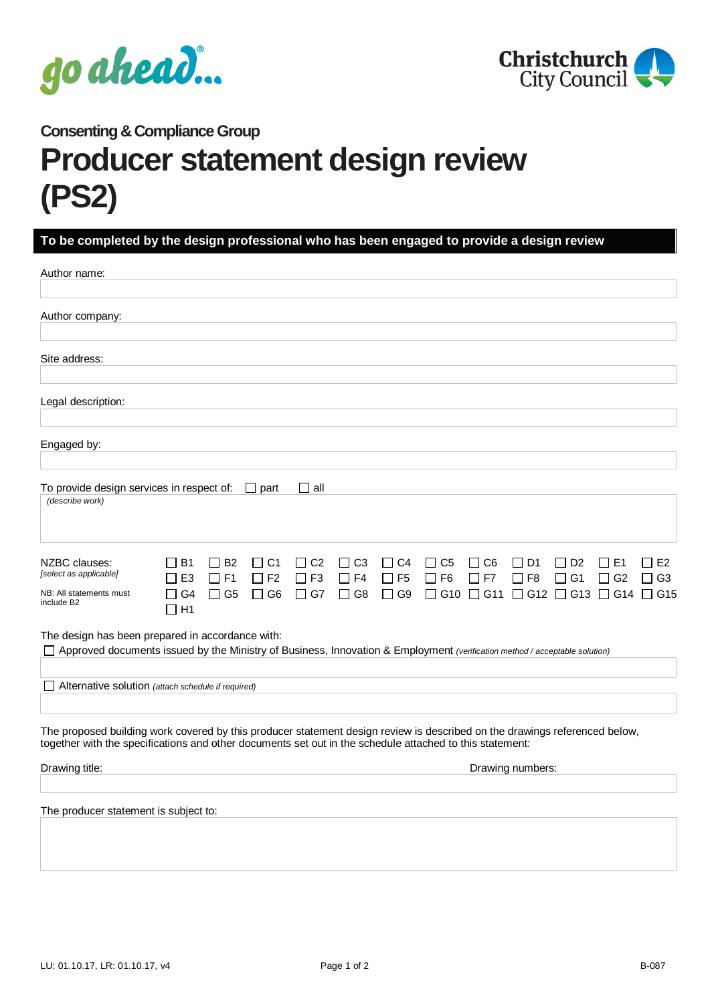



## **Consenting & Compliance Group Producer statement design review (PS2)**

## **To be completed by the design professional who has been engaged to provide a design review**

| Author name:                                                                                                                                                                                                                           |                                                                                           |                                                 |                                                                                    |                                     |                                     |                        |                        |                 |                                    |                                                                    |                     |
|----------------------------------------------------------------------------------------------------------------------------------------------------------------------------------------------------------------------------------------|-------------------------------------------------------------------------------------------|-------------------------------------------------|------------------------------------------------------------------------------------|-------------------------------------|-------------------------------------|------------------------|------------------------|-----------------|------------------------------------|--------------------------------------------------------------------|---------------------|
| Author company:                                                                                                                                                                                                                        |                                                                                           |                                                 |                                                                                    |                                     |                                     |                        |                        |                 |                                    |                                                                    |                     |
| Site address:                                                                                                                                                                                                                          |                                                                                           |                                                 |                                                                                    |                                     |                                     |                        |                        |                 |                                    |                                                                    |                     |
| Legal description:                                                                                                                                                                                                                     |                                                                                           |                                                 |                                                                                    |                                     |                                     |                        |                        |                 |                                    |                                                                    |                     |
| Engaged by:                                                                                                                                                                                                                            |                                                                                           |                                                 |                                                                                    |                                     |                                     |                        |                        |                 |                                    |                                                                    |                     |
| To provide design services in respect of:<br>(describe work)                                                                                                                                                                           |                                                                                           |                                                 | $\Box$ all<br>$\Box$ part                                                          |                                     |                                     |                        |                        |                 |                                    |                                                                    |                     |
| NZBC clauses:<br>[select as applicable]<br>NB: All statements must<br>include B <sub>2</sub>                                                                                                                                           | <b>B1</b><br>$\mathsf{L}$<br>E <sub>3</sub><br>$\mathsf{L}$<br>G4<br>$\perp$<br>$\Box$ H1 | $\Box$ B <sub>2</sub><br>$\Box$ F1<br>$\Box$ G5 | $\Box$ C <sub>2</sub><br>II C1<br>$\Box$ F3<br>$\Box$ F2<br>$\Box$ G7<br>$\Box$ G6 | $\Box$ C3<br>$\Box$ F4<br>$\Box$ G8 | $\Box$ C4<br>$\Box$ F5<br>$\Box$ G9 | $\Box$ C5<br>$\Box$ F6 | $\Box$ C6<br>$\Box$ F7 | D1<br>$\Box$ F8 | $\Box$ D <sub>2</sub><br>$\Box$ G1 | E1<br>$\Box$ G2<br>$□$ G10 $□$ G11 $□$ G12 $□$ G13 $□$ G14 $□$ G15 | I I E2<br>$\Box$ G3 |
| The design has been prepared in accordance with:<br>□ Approved documents issued by the Ministry of Business, Innovation & Employment (verification method / acceptable solution)                                                       |                                                                                           |                                                 |                                                                                    |                                     |                                     |                        |                        |                 |                                    |                                                                    |                     |
| Alternative solution (attach schedule if required)                                                                                                                                                                                     |                                                                                           |                                                 |                                                                                    |                                     |                                     |                        |                        |                 |                                    |                                                                    |                     |
| The proposed building work covered by this producer statement design review is described on the drawings referenced below,<br>together with the specifications and other documents set out in the schedule attached to this statement: |                                                                                           |                                                 |                                                                                    |                                     |                                     |                        |                        |                 |                                    |                                                                    |                     |
| Drawing title:                                                                                                                                                                                                                         | Drawing numbers:                                                                          |                                                 |                                                                                    |                                     |                                     |                        |                        |                 |                                    |                                                                    |                     |
| The producer statement is subject to:                                                                                                                                                                                                  |                                                                                           |                                                 |                                                                                    |                                     |                                     |                        |                        |                 |                                    |                                                                    |                     |